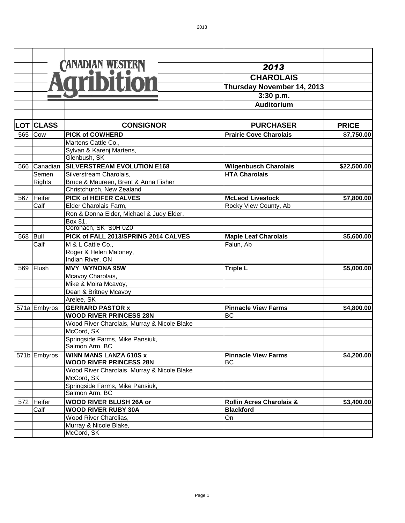|     |                  | CANADIAN WESTERN                            | 2013                                |                        |
|-----|------------------|---------------------------------------------|-------------------------------------|------------------------|
|     |                  |                                             | <b>CHAROLAIS</b>                    |                        |
|     |                  |                                             |                                     |                        |
|     |                  |                                             | Thursday November 14, 2013          |                        |
|     |                  |                                             | 3:30 p.m.                           |                        |
|     |                  |                                             | <b>Auditorium</b>                   |                        |
|     | <b>LOT CLASS</b> | <b>CONSIGNOR</b>                            | <b>PURCHASER</b>                    | <b>PRICE</b>           |
| 565 | Cow              | <b>PICK of COWHERD</b>                      | <b>Prairie Cove Charolais</b>       | \$7,750.00             |
|     |                  | Martens Cattle Co.,                         |                                     |                        |
|     |                  | Sylvan & Karenj Martens,                    |                                     |                        |
|     |                  | Glenbush, SK                                |                                     |                        |
| 566 | Canadian         | SILVERSTREAM EVOLUTION E168                 | <b>Wilgenbusch Charolais</b>        | \$22,500.00            |
|     | Semen            | Silverstream Charolais,                     | <b>HTA Charolais</b>                |                        |
|     | <b>Rights</b>    | Bruce & Maureen, Brent & Anna Fisher        |                                     |                        |
|     |                  | Christchurch, New Zealand                   |                                     |                        |
| 567 | Heifer           | <b>PICK of HEIFER CALVES</b>                | <b>McLeod Livestock</b>             | \$7,800.00             |
|     | Calf             | Elder Charolais Farm,                       | Rocky View County, Ab               |                        |
|     |                  | Ron & Donna Elder, Michael & Judy Elder,    |                                     |                        |
|     |                  | Box 81,                                     |                                     |                        |
|     |                  | Coronach, SK S0H 0Z0                        |                                     |                        |
| 568 | Bull             | PICK of FALL 2013/SPRING 2014 CALVES        | <b>Maple Leaf Charolais</b>         | $\overline{$}5,600.00$ |
|     | Calf             | M & L Cattle Co.,                           | Falun, Ab                           |                        |
|     |                  | Roger & Helen Maloney,                      |                                     |                        |
|     |                  | Indian River, ON                            |                                     |                        |
| 569 | Flush            | <b>MVY WYNONA 95W</b>                       | <b>Triple L</b>                     | \$5,000.00             |
|     |                  | Mcavoy Charolais,                           |                                     |                        |
|     |                  | Mike & Moira Mcavoy,                        |                                     |                        |
|     |                  | Dean & Britney Mcavoy                       |                                     |                        |
|     |                  | Arelee, SK                                  |                                     |                        |
|     | 571a Embyros     | <b>GERRARD PASTOR x</b>                     | <b>Pinnacle View Farms</b>          | \$4,800.00             |
|     |                  | <b>WOOD RIVER PRINCESS 28N</b>              | BC                                  |                        |
|     |                  | Wood River Charolais, Murray & Nicole Blake |                                     |                        |
|     |                  | McCord, SK                                  |                                     |                        |
|     |                  | Springside Farms, Mike Pansiuk,             |                                     |                        |
|     |                  | Salmon Arm, BC                              |                                     |                        |
|     | 571b Embyros     | <b>WINN MANS LANZA 610S x</b>               | <b>Pinnacle View Farms</b>          | \$4,200.00             |
|     |                  | <b>WOOD RIVER PRINCESS 28N</b>              | <b>BC</b>                           |                        |
|     |                  | Wood River Charolais, Murray & Nicole Blake |                                     |                        |
|     |                  | McCord, SK                                  |                                     |                        |
|     |                  | Springside Farms, Mike Pansiuk,             |                                     |                        |
|     |                  | Salmon Arm, BC                              |                                     |                        |
| 572 | Heifer           | WOOD RIVER BLUSH 26A or                     | <b>Rollin Acres Charolais &amp;</b> | \$3,400.00             |
|     | Calf             | <b>WOOD RIVER RUBY 30A</b>                  | <b>Blackford</b>                    |                        |
|     |                  | Wood River Charolias,                       | On                                  |                        |
|     |                  | Murray & Nicole Blake,                      |                                     |                        |
|     |                  | McCord, SK                                  |                                     |                        |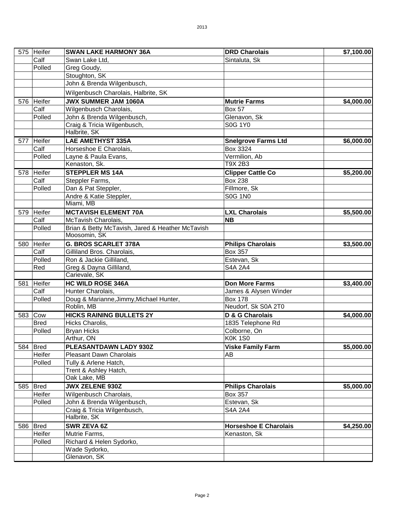|     | 575 Heifer  | <b>SWAN LAKE HARMONY 36A</b>                     | <b>DRD Charolais</b>         | \$7,100.00 |
|-----|-------------|--------------------------------------------------|------------------------------|------------|
|     | Calf        | Swan Lake Ltd,                                   | Sintaluta, Sk                |            |
|     | Polled      | Greg Goudy,                                      |                              |            |
|     |             | Stoughton, SK                                    |                              |            |
|     |             | John & Brenda Wilgenbusch,                       |                              |            |
|     |             | Wilgenbusch Charolais, Halbrite, SK              |                              |            |
|     | 576 Heifer  | <b>JWX SUMMER JAM 1060A</b>                      | <b>Mutrie Farms</b>          | \$4,000.00 |
|     | Calf        | Wilgenbusch Charolais,                           | <b>Box 57</b>                |            |
|     | Polled      | John & Brenda Wilgenbusch,                       | Glenavon, Sk                 |            |
|     |             | Craig & Tricia Wilgenbusch,                      | <b>S0G 1Y0</b>               |            |
|     |             | Halbrite, SK                                     |                              |            |
|     | 577 Heifer  | <b>LAE AMETHYST 335A</b>                         | <b>Snelgrove Farms Ltd</b>   | \$6,000.00 |
|     | Calf        | Horseshoe E Charolais,                           | Box 3324                     |            |
|     | Polled      | Layne & Paula Evans,                             | Vermilion, Ab                |            |
|     |             | Kenaston, Sk.                                    | T9X 2B3                      |            |
|     | 578 Heifer  | <b>STEPPLER MS 14A</b>                           | <b>Clipper Cattle Co</b>     | \$5,200.00 |
|     | Calf        | Steppler Farms,                                  | <b>Box 238</b>               |            |
|     | Polled      | Dan & Pat Steppler,                              | Fillmore, Sk                 |            |
|     |             | Andre & Katie Steppler,                          | <b>S0G 1N0</b>               |            |
|     |             | Miami, MB                                        |                              |            |
|     | 579 Heifer  | <b>MCTAVISH ELEMENT 70A</b>                      | <b>LXL Charolais</b>         | \$5,500.00 |
|     | Calf        | McTavish Charolais,                              | <b>NB</b>                    |            |
|     | Polled      | Brian & Betty McTavish, Jared & Heather McTavish |                              |            |
|     |             | Moosomin, SK                                     |                              |            |
|     | 580 Heifer  | <b>G. BROS SCARLET 378A</b>                      | <b>Philips Charolais</b>     | \$3,500.00 |
|     | Calf        | Gilliland Bros. Charolais,                       | <b>Box 357</b>               |            |
|     | Polled      | Ron & Jackie Gilliland,                          | Estevan, Sk                  |            |
|     | Red         | Greg & Dayna Gilliland,                          | <b>S4A 2A4</b>               |            |
|     |             | Carievale, SK                                    |                              |            |
| 581 | Heifer      | <b>HC WILD ROSE 346A</b>                         | <b>Don More Farms</b>        | \$3,400.00 |
|     | Calf        | Hunter Charolais,                                | James & Alysen Winder        |            |
|     | Polled      | Doug & Marianne, Jimmy, Michael Hunter,          | <b>Box 178</b>               |            |
|     |             | Roblin, MB                                       | Neudorf, Sk S0A 2T0          |            |
| 583 | Cow         | <b>HICKS RAINING BULLETS 2Y</b>                  | D & G Charolais              | \$4,000.00 |
|     | <b>Bred</b> | Hicks Charolis,                                  | 1835 Telephone Rd            |            |
|     | Polled      | <b>Bryan Hicks</b>                               | Colborne, On                 |            |
|     |             | Arthur, ON                                       | <b>K0K1S0</b>                |            |
|     | 584 Bred    | PLEASANTDAWN LADY 930Z                           | <b>Viske Family Farm</b>     | \$5,000.00 |
|     | Heifer      | Pleasant Dawn Charolais                          | AB                           |            |
|     | Polled      | Tully & Arlene Hatch,                            |                              |            |
|     |             | Trent & Ashley Hatch,                            |                              |            |
|     |             | Oak Lake, MB                                     |                              |            |
|     | 585 Bred    | <b>JWX ZELENE 930Z</b>                           | <b>Philips Charolais</b>     | \$5,000.00 |
|     | Heifer      | Wilgenbusch Charolais,                           | <b>Box 357</b>               |            |
|     | Polled      | John & Brenda Wilgenbusch,                       | Estevan, Sk                  |            |
|     |             | Craig & Tricia Wilgenbusch,                      | <b>S4A 2A4</b>               |            |
|     |             | Halbrite, SK                                     |                              |            |
|     | 586 Bred    | SWR ZEVA 6Z                                      | <b>Horseshoe E Charolais</b> | \$4,250.00 |
|     | Heifer      | Mutrie Farms,                                    | Kenaston, Sk                 |            |
|     | Polled      | Richard & Helen Sydorko,                         |                              |            |
|     |             | Wade Sydorko,                                    |                              |            |
|     |             | Glenavon, SK                                     |                              |            |
|     |             |                                                  |                              |            |